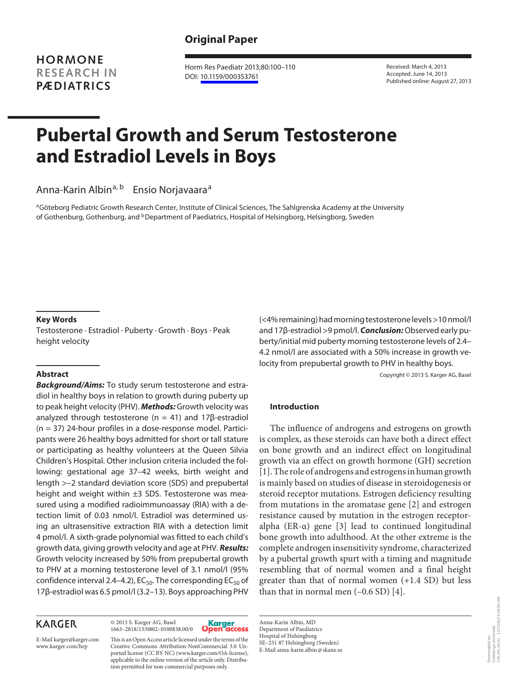**HORMONE RESEARCH IN PÆDIATRICS**

 Horm Res Paediatr 2013;80:100–110 DOI: [10.1159/000353761](http://dx.doi.org/10.1159%2F000353761)

 Received: March 4, 2013 Accepted: June 14, 2013 Published online: August 27, 2013

# **Pubertal Growth and Serum Testosterone and Estradiol Levels in Boys**

Anna-Karin Albin<sup>a, b</sup> Ensio Norjavaara<sup>a</sup>

a Göteborg Pediatric Growth Research Center, Institute of Clinical Sciences, The Sahlgrenska Academy at the University of Gothenburg, Gothenburg, and <sup>b</sup> Department of Paediatrics, Hospital of Helsingborg, Helsingborg, Sweden

#### **Key Words**

 Testosterone · Estradiol · Puberty · Growth · Boys · Peak height velocity

## **Abstract**

*Background/Aims:* To study serum testosterone and estradiol in healthy boys in relation to growth during puberty up to peak height velocity (PHV). *Methods:* Growth velocity was analyzed through testosterone (n = 41) and 17 $\beta$ -estradiol (n = 37) 24-hour profiles in a dose-response model. Participants were 26 healthy boys admitted for short or tall stature or participating as healthy volunteers at the Queen Silvia Children's Hospital. Other inclusion criteria included the following: gestational age 37–42 weeks, birth weight and length >–2 standard deviation score (SDS) and prepubertal height and weight within ±3 SDS. Testosterone was measured using a modified radioimmunoassay (RIA) with a detection limit of 0.03 nmol/l. Estradiol was determined using an ultrasensitive extraction RIA with a detection limit 4 pmol/l. A sixth-grade polynomial was fitted to each child's growth data, giving growth velocity and age at PHV. *Results:* Growth velocity increased by 50% from prepubertal growth to PHV at a morning testosterone level of 3.1 nmol/l (95% confidence interval 2.4-4.2), EC<sub>50</sub>. The corresponding EC<sub>50</sub> of 17β-estradiol was 6.5 pmol/l (3.2–13). Boys approaching PHV

# **KARGER**

 © 2013 S. Karger AG, Basel 1663–2818/13/0802–0100\$38.00/0



E-Mail karger@karger.com www.karger.com/hrp

This is an Open Access article licensed under the terms of the Creative Commons Attribution-NonCommercial 3.0 Unported license (CC BY-NC) (www.karger.com/OA-license), applicable to the online version of the article only. Distribution permitted for non-commercial purposes only.

(<4% remaining) had morning testosterone levels >10 nmol/l and 17β-estradiol >9 pmol/l. *Conclusion:* Observed early puberty/initial mid puberty morning testosterone levels of 2.4– 4.2 nmol/l are associated with a 50% increase in growth velocity from prepubertal growth to PHV in healthy boys.

Copyright © 2013 S. Karger AG, Basel

# **Introduction**

 The influence of androgens and estrogens on growth is complex, as these steroids can have both a direct effect on bone growth and an indirect effect on longitudinal growth via an effect on growth hormone (GH) secretion [1]. The role of androgens and estrogens in human growth is mainly based on studies of disease in steroidogenesis or steroid receptor mutations. Estrogen deficiency resulting from mutations in the aromatase gene [2] and estrogen resistance caused by mutation in the estrogen receptoralpha (ER-α) gene [3] lead to continued longitudinal bone growth into adulthood. At the other extreme is the complete androgen insensitivity syndrome, characterized by a pubertal growth spurt with a timing and magnitude resembling that of normal women and a final height greater than that of normal women (+1.4 SD) but less than that in normal men  $(-0.6 S<sub>D</sub>)$  [4].

 Anna-Karin Albin, MD Department of Paediatrics Hospital of Helsingborg SE–251 87 Helsingborg (Sweden) E-Mail anna-karin.albin @ skane.se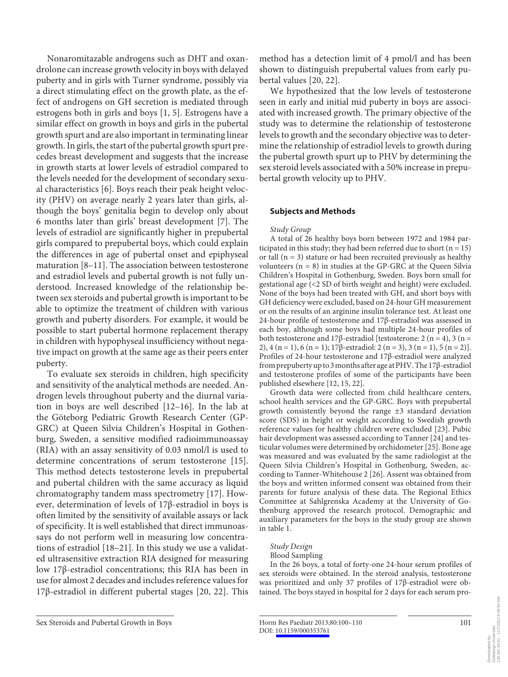Nonaromitazable androgens such as DHT and oxandrolone can increase growth velocity in boys with delayed puberty and in girls with Turner syndrome, possibly via a direct stimulating effect on the growth plate, as the effect of androgens on GH secretion is mediated through estrogens both in girls and boys [1, 5]. Estrogens have a similar effect on growth in boys and girls in the pubertal growth spurt and are also important in terminating linear growth. In girls, the start of the pubertal growth spurt precedes breast development and suggests that the increase in growth starts at lower levels of estradiol compared to the levels needed for the development of secondary sexual characteristics [6]. Boys reach their peak height velocity (PHV) on average nearly 2 years later than girls, although the boys' genitalia begin to develop only about 6 months later than girls' breast development [7] . The levels of estradiol are significantly higher in prepubertal girls compared to prepubertal boys, which could explain the differences in age of pubertal onset and epiphyseal maturation [8–11]. The association between testosterone and estradiol levels and pubertal growth is not fully understood. Increased knowledge of the relationship between sex steroids and pubertal growth is important to be able to optimize the treatment of children with various growth and puberty disorders. For example, it would be possible to start pubertal hormone replacement therapy in children with hypophyseal insufficiency without negative impact on growth at the same age as their peers enter puberty.

 To evaluate sex steroids in children, high specificity and sensitivity of the analytical methods are needed. Androgen levels throughout puberty and the diurnal variation in boys are well described [12-16]. In the lab at the Göteborg Pediatric Growth Research Center (GP-GRC) at Queen Silvia Children's Hospital in Gothenburg, Sweden, a sensitive modified radioimmunoassay (RIA) with an assay sensitivity of 0.03 nmol/l is used to determine concentrations of serum testosterone [15]. This method detects testosterone levels in prepubertal and pubertal children with the same accuracy as liquid chromatography tandem mass spectrometry [17] . However, determination of levels of 17β-estradiol in boys is often limited by the sensitivity of available assays or lack of specificity. It is well established that direct immunoassays do not perform well in measuring low concentrations of estradiol [18–21] . In this study we use a validated ultrasensitive extraction RIA designed for measuring low 17β-estradiol concentrations; this RIA has been in use for almost 2 decades and includes reference values for 17β-estradiol in different pubertal stages [20, 22]. This

method has a detection limit of 4 pmol/l and has been shown to distinguish prepubertal values from early pubertal values [20, 22].

 We hypothesized that the low levels of testosterone seen in early and initial mid puberty in boys are associated with increased growth. The primary objective of the study was to determine the relationship of testosterone levels to growth and the secondary objective was to determine the relationship of estradiol levels to growth during the pubertal growth spurt up to PHV by determining the sex steroid levels associated with a 50% increase in prepubertal growth velocity up to PHV.

## **Subjects and Methods**

## *Study Group*

 A total of 26 healthy boys born between 1972 and 1984 participated in this study; they had been referred due to short  $(n = 15)$ or tall  $(n = 3)$  stature or had been recruited previously as healthy volunteers  $(n = 8)$  in studies at the GP-GRC at the Queen Silvia Children's Hospital in Gothenburg, Sweden. Boys born small for gestational age (<2 SD of birth weight and height) were excluded. None of the boys had been treated with GH, and short boys with GH deficiency were excluded, based on 24-hour GH measurement or on the results of an arginine insulin tolerance test. At least one 24-hour profile of testosterone and 17β-estradiol was assessed in each boy, although some boys had multiple 24-hour profiles of both testosterone and 17β-estradiol [testosterone: 2 (n = 4), 3 (n = 2), 4 (n = 1), 6 (n = 1); 17 $\beta$ -estradiol: 2 (n = 3), 3 (n = 1), 5 (n = 2)]. Profiles of 24-hour testosterone and 17β-estradiol were analyzed from prepuberty up to 3 months after age at PHV. The 17β-estradiol and testosterone profiles of some of the participants have been published elsewhere [12, 15, 22].

 Growth data were collected from child healthcare centers, school health services and the GP-GRC. Boys with prepubertal growth consistently beyond the range ±3 standard deviation score (SDS) in height or weight according to Swedish growth reference values for healthy children were excluded [23] . Pubic hair development was assessed according to Tanner [24] and testicular volumes were determined by orchidometer [25] . Bone age was measured and was evaluated by the same radiologist at the Queen Silvia Children's Hospital in Gothenburg, Sweden, according to Tanner-Whitehouse 2 [26] . Assent was obtained from the boys and written informed consent was obtained from their parents for future analysis of these data. The Regional Ethics Committee at Sahlgrenska Academy at the University of Gothenburg approved the research protocol. Demographic and auxiliary parameters for the boys in the study group are shown in table 1.

## *Study Design*

Blood Sampling

 In the 26 boys, a total of forty-one 24-hour serum profiles of sex steroids were obtained. In the steroid analysis, testosterone was prioritized and only 37 profiles of 17β-estradiol were obtained. The boys stayed in hospital for 2 days for each serum pro-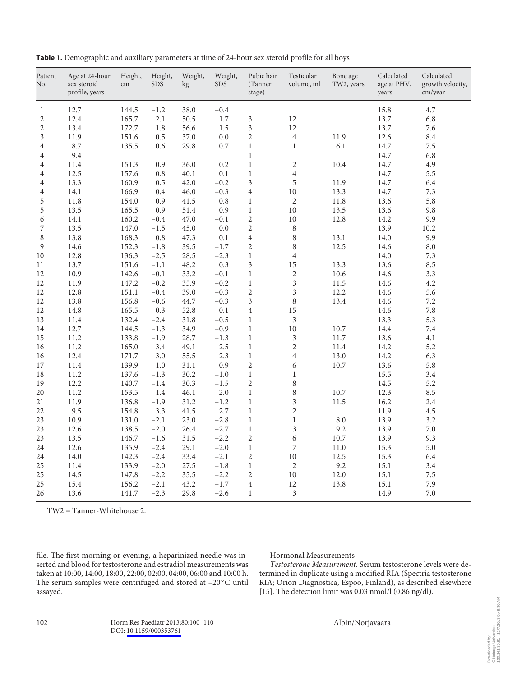**Table 1.** Demographic and auxiliary parameters at time of 24-hour sex steroid profile for all boys

| Patient<br>No. | Age at 24-hour<br>sex steroid<br>profile, years | Height,<br>cm | Height,<br>SDS | Weight,<br>kg | Weight,<br><b>SDS</b> | Pubic hair<br>(Tanner<br>stage) | Testicular<br>volume, ml | Bone age<br>TW2, years | Calculated<br>age at PHV,<br>years | Calculated<br>growth velocity,<br>cm/year |
|----------------|-------------------------------------------------|---------------|----------------|---------------|-----------------------|---------------------------------|--------------------------|------------------------|------------------------------------|-------------------------------------------|
| $\mathbf{1}$   | 12.7                                            | 144.5         | $-1.2$         | 38.0          | $-0.4$                |                                 |                          |                        | 15.8                               | 4.7                                       |
| 2              | 12.4                                            | 165.7         | 2.1            | 50.5          | 1.7                   | 3                               | 12                       |                        | 13.7                               | 6.8                                       |
| 2              | 13.4                                            | 172.7         | 1.8            | 56.6          | 1.5                   | 3                               | 12                       |                        | 13.7                               | 7.6                                       |
| 3              | 11.9                                            | 151.6         | 0.5            | 37.0          | 0.0                   | $\overline{2}$                  | $\overline{4}$           | 11.9                   | 12.6                               | 8.4                                       |
| $\overline{4}$ | 8.7                                             | 135.5         | 0.6            | 29.8          | 0.7                   | $\mathbf{1}$                    | $\mathbf{1}$             | 6.1                    | 14.7                               | 7.5                                       |
| $\overline{4}$ | 9.4                                             |               |                |               |                       | $\,1$                           |                          |                        | 14.7                               | 6.8                                       |
| $\overline{4}$ | 11.4                                            | 151.3         | 0.9            | 36.0          | 0.2                   | $\mathbf{1}$                    | $\overline{c}$           | 10.4                   | 14.7                               | 4.9                                       |
| $\overline{4}$ | 12.5                                            | 157.6         | 0.8            | 40.1          | 0.1                   | $\mathbf{1}$                    | $\overline{\mathbf{4}}$  |                        | 14.7                               | $5.5\,$                                   |
| $\overline{4}$ | 13.3                                            | 160.9         | 0.5            | 42.0          | $-0.2$                | $\overline{3}$                  | 5                        | 11.9                   | 14.7                               | 6.4                                       |
| $\overline{4}$ | 14.1                                            | 166.9         | 0.4            | 46.0          | $-0.3$                | $\overline{4}$                  | $10\,$                   | 13.3                   | 14.7                               | 7.3                                       |
| 5              | 11.8                                            | 154.0         | 0.9            | 41.5          | 0.8                   | $\mathbf{1}$                    | $\overline{2}$           | 11.8                   | 13.6                               | 5.8                                       |
| 5              | 13.5                                            | 165.5         | 0.9            | 51.4          | 0.9                   | $\mathbf{1}$                    | 10                       | 13.5                   | 13.6                               | 9.8                                       |
| 6              | 14.1                                            | 160.2         | $-0.4$         | 47.0          | $-0.1$                | $\overline{2}$                  | 10                       | 12.8                   | 14.2                               | 9.9                                       |
| 7              | 13.5                                            | 147.0         | $-1.5$         | 45.0          | $0.0\,$               | $\overline{2}$                  | $\,$ 8 $\,$              |                        | 13.9                               | 10.2                                      |
| 8              | 13.8                                            | 168.3         | $0.8\,$        | 47.3          | 0.1                   | $\overline{4}$                  | $\,8\,$                  | 13.1                   | 14.0                               | 9.9                                       |
| 9              | 14.6                                            | 152.3         | $-1.8$         | 39.5          | $-1.7$                | $\overline{2}$                  | 8                        | 12.5                   | 14.6                               | 8.0                                       |
| 10             | 12.8                                            | 136.3         | $-2.5$         | 28.5          | $-2.3$                | $\mathbf{1}$                    | $\overline{\mathbf{4}}$  |                        | 14.0                               | 7.3                                       |
| 11             | 13.7                                            | 151.6         | $-1.1$         | 48.2          | 0.3                   | $\overline{3}$                  | 15                       | 13.3                   | 13.6                               | 8.5                                       |
| 12             | 10.9                                            | 142.6         | $-0.1$         | 33.2          | $-0.1$                | $\mathbf{1}$                    | $\overline{c}$           | $10.6\,$               | 14.6                               | 3.3                                       |
| 12             | 11.9                                            | 147.2         | $-0.2$         | 35.9          | $-0.2$                | $\mathbf{1}$                    | $\overline{\mathbf{3}}$  | 11.5                   | 14.6                               | 4.2                                       |
| 12             | 12.8                                            | 151.1         | $-0.4$         | 39.0          | $-0.3$                | $\overline{2}$                  | 3                        | 12.2                   | 14.6                               | 5.6                                       |
| 12             | 13.8                                            | 156.8         | $-0.6$         | 44.7          | $-0.3$                | 3                               | $\,8\,$                  | 13.4                   | 14.6                               | 7.2                                       |
| 12             | 14.8                                            | 165.5         | $-0.3$         | 52.8          | 0.1                   | $\overline{4}$                  | 15                       |                        | 14.6                               | $7.8\,$                                   |
| 13             | 11.4                                            | 132.4         | $-2.4$         | 31.8          | $-0.5$                | $\mathbf{1}$                    | $\overline{\mathbf{3}}$  |                        | 13.3                               | 5.3                                       |
| 14             | 12.7                                            | 144.5         | $-1.3$         | 34.9          | $-0.9$                | $\mathbf{1}$                    | $10\,$                   | 10.7                   | 14.4                               | 7.4                                       |
| 15             | 11.2                                            | 133.8         | $-1.9$         | 28.7          | $-1.3$                | $\mathbf{1}$                    | $\overline{\mathbf{3}}$  | $11.7\,$               | 13.6                               | 4.1                                       |
| 16             | 11.2                                            | 165.0         | 3.4            | 49.1          | 2.5                   | $\mathbf{1}$                    | $\overline{c}$           | 11.4                   | 14.2                               | 5.2                                       |
| 16             | 12.4                                            | 171.7         | 3.0            | 55.5          | 2.3                   | $\mathbf{1}$                    | $\overline{4}$           | 13.0                   | 14.2                               | 6.3                                       |
| 17             | 11.4                                            | 139.9         | $-1.0$         | 31.1          | $-0.9$                | $\overline{2}$                  | 6                        | 10.7                   | 13.6                               | 5.8                                       |
| 18             | 11.2                                            | 137.6         | $-1.3$         | 30.2          | $-1.0$                | $\mathbf{1}$                    | $\mathbf 1$              |                        | 15.5                               | 3.4                                       |
| 19             | 12.2                                            | 140.7         | $-1.4$         | 30.3          | $-1.5$                | $\overline{2}$                  | 8                        |                        | 14.5                               | 5.2                                       |
| 20             | 11.2                                            | 153.5         | 1.4            | 46.1          | 2.0                   | $\mathbf{1}$                    | 8                        | 10.7                   | 12.3                               | 8.5                                       |
| 21             | 11.9                                            | 136.8         | $-1.9$         | 31.2          | $-1.2$                | $\mathbf{1}$                    | $\overline{\mathbf{3}}$  | $11.5\,$               | 16.2                               | $2.4\,$                                   |
| 22             | 9.5                                             | 154.8         | 3.3            | 41.5          | 2.7                   | $\mathbf{1}$                    | $\overline{c}$           |                        | 11.9                               | $4.5\,$                                   |
| 23             | 10.9                                            | 131.0         | $-2.1$         | 23.0          | $-2.8$                | $\mathbf{1}$                    | $\,1$                    | 8.0                    | 13.9                               | 3.2                                       |
| 23             | 12.6                                            | 138.5         | $-2.0$         | 26.4          | $-2.7$                | $\mathbf{1}$                    | 3                        | 9.2                    | 13.9                               | $7.0\,$                                   |
| 23             | 13.5                                            | 146.7         | $-1.6$         | 31.5          | $-2.2$                | $\overline{2}$                  | 6                        | 10.7                   | 13.9                               | 9.3                                       |
| 24             | 12.6                                            | 135.9         | $-2.4$         | 29.1          | $-2.0$                | $\mathbf{1}$                    | 7                        | 11.0                   | 15.3                               | 5.0                                       |
| 24             | 14.0                                            | 142.3         | $-2.4$         | 33.4          | $-2.1$                | $\overline{2}$                  | 10                       | 12.5                   | 15.3                               | 6.4                                       |
| 25             | 11.4                                            | 133.9         | $-2.0$         | 27.5          | $-1.8$                | $\mathbf{1}$                    | $\overline{c}$           | 9.2                    | 15.1                               | 3.4                                       |
| 25             | 14.5                                            | 147.8         | $-2.2$         | 35.5          | $-2.2$                | $\overline{2}$                  | $10\,$                   | 12.0                   | 15.1                               | 7.5                                       |
| 25             | 15.4                                            | 156.2         | $-2.1$         | 43.2          | $-1.7$                | $\overline{4}$                  | 12                       | 13.8                   | 15.1                               | 7.9                                       |
| 26             | 13.6                                            | 141.7         | $-2.3$         | 29.8          | $-2.6$                | $\mathbf{1}$                    | 3                        |                        | 14.9                               | 7.0                                       |
|                |                                                 |               |                |               |                       |                                 |                          |                        |                                    |                                           |

TW2 = Tanner-Whitehouse 2.

file. The first morning or evening, a heparinized needle was inserted and blood for testosterone and estradiol measurements was taken at 10:00, 14:00, 18:00, 22:00, 02:00, 04:00, 06:00 and 10:00 h. The serum samples were centrifuged and stored at  $-20^{\circ}$ C until assayed.

Hormonal Measurements

*Testosterone Measurement.* Serum testosterone levels were determined in duplicate using a modified RIA (Spectria testosterone RIA; Orion Diagnostica, Espoo, Finland), as described elsewhere [15]. The detection limit was 0.03 nmol/l (0.86 ng/dl).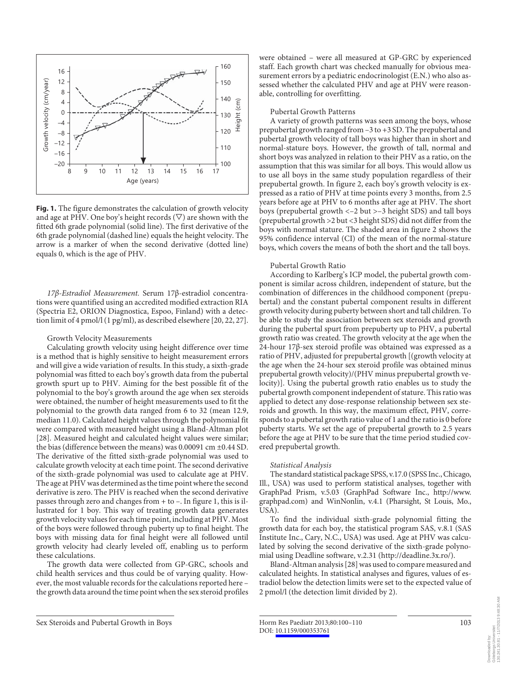

**Fig. 1.** The figure demonstrates the calculation of growth velocity and age at PHV. One boy's height records  $(\nabla)$  are shown with the fitted 6th grade polynomial (solid line). The first derivative of the 6th grade polynomial (dashed line) equals the height velocity. The arrow is a marker of when the second derivative (dotted line) equals 0, which is the age of PHV.

*17β-Estradiol Measurement.* Serum 17β-estradiol concentrations were quantified using an accredited modified extraction RIA (Spectria E2, ORION Diagnostica, Espoo, Finland) with a detection limit of 4 pmol/l (1 pg/ml), as described elsewhere [20, 22, 27] .

#### Growth Velocity Measurements

 Calculating growth velocity using height difference over time is a method that is highly sensitive to height measurement errors and will give a wide variation of results. In this study, a sixth-grade polynomial was fitted to each boy's growth data from the pubertal growth spurt up to PHV. Aiming for the best possible fit of the polynomial to the boy's growth around the age when sex steroids were obtained, the number of height measurements used to fit the polynomial to the growth data ranged from 6 to 32 (mean 12.9, median 11.0). Calculated height values through the polynomial fit were compared with measured height using a Bland-Altman plot [28]. Measured height and calculated height values were similar; the bias (difference between the means) was 0.00091 cm ±0.44 SD. The derivative of the fitted sixth-grade polynomial was used to calculate growth velocity at each time point. The second derivative of the sixth-grade polynomial was used to calculate age at PHV. The age at PHV was determined as the time point where the second derivative is zero. The PHV is reached when the second derivative passes through zero and changes from  $+$  to  $-$ . In figure 1, this is illustrated for 1 boy. This way of treating growth data generates growth velocity values for each time point, including at PHV. Most of the boys were followed through puberty up to final height. The boys with missing data for final height were all followed until growth velocity had clearly leveled off, enabling us to perform these calculations.

 The growth data were collected from GP-GRC, schools and child health services and thus could be of varying quality. However, the most valuable records for the calculations reported here – the growth data around the time point when the sex steroid profiles

were obtained – were all measured at GP-GRC by experienced staff. Each growth chart was checked manually for obvious measurement errors by a pediatric endocrinologist (E.N.) who also assessed whether the calculated PHV and age at PHV were reasonable, controlling for overfitting.

#### Pubertal Growth Patterns

 A variety of growth patterns was seen among the boys, whose prepubertal growth ranged from –3 to +3 SD. The prepubertal and pubertal growth velocity of tall boys was higher than in short and normal-stature boys. However, the growth of tall, normal and short boys was analyzed in relation to their PHV as a ratio, on the assumption that this was similar for all boys. This would allow us to use all boys in the same study population regardless of their prepubertal growth. In figure 2, each boy's growth velocity is expressed as a ratio of PHV at time points every 3 months, from 2.5 years before age at PHV to 6 months after age at PHV. The short boys (prepubertal growth <–2 but >–3 height SDS) and tall boys (prepubertal growth >2 but <3 height SDS) did not differ from the boys with normal stature. The shaded area in figure 2 shows the 95% confidence interval (CI) of the mean of the normal-stature boys, which covers the means of both the short and the tall boys.

#### Pubertal Growth Ratio

 According to Karlberg's ICP model, the pubertal growth component is similar across children, independent of stature, but the combination of differences in the childhood component (prepubertal) and the constant pubertal component results in different growth velocity during puberty between short and tall children. To be able to study the association between sex steroids and growth during the pubertal spurt from prepuberty up to PHV, a pubertal growth ratio was created. The growth velocity at the age when the 24-hour 17β-sex steroid profile was obtained was expressed as a ratio of PHV, adjusted for prepubertal growth [(growth velocity at the age when the 24-hour sex steroid profile was obtained minus prepubertal growth velocity)/(PHV minus prepubertal growth velocity)]. Using the pubertal growth ratio enables us to study the pubertal growth component independent of stature. This ratio was applied to detect any dose-response relationship between sex steroids and growth. In this way, the maximum effect, PHV, corresponds to a pubertal growth ratio value of 1 and the ratio is 0 before puberty starts. We set the age of prepubertal growth to 2.5 years before the age at PHV to be sure that the time period studied covered prepubertal growth.

#### *Statistical Analysis*

 The standard statistical package SPSS, v.17.0 (SPSS Inc., Chicago, Ill., USA) was used to perform statistical analyses, together with GraphPad Prism, v.5.03 (GraphPad Software Inc., http://www. graphpad.com) and WinNonlin, v.4.1 (Pharsight, St Louis, Mo., USA).

 To find the individual sixth-grade polynomial fitting the growth data for each boy, the statistical program SAS, v.8.1 (SAS Institute Inc., Cary, N.C., USA) was used. Age at PHV was calculated by solving the second derivative of the sixth-grade polynomial using Deadline software, v.2.31 (http://deadline.3x.ro/).

 Bland-Altman analysis [28] was used to compare measured and calculated heights. In statistical analyses and figures, values of estradiol below the detection limits were set to the expected value of 2 pmol/l (the detection limit divided by 2).

30:241.30.81 - 11/7/2013 9:48:30 AM 130.241.30.81 - 11/7/2013 9:48:30 AMGöteborgs Universitet Downloaded by: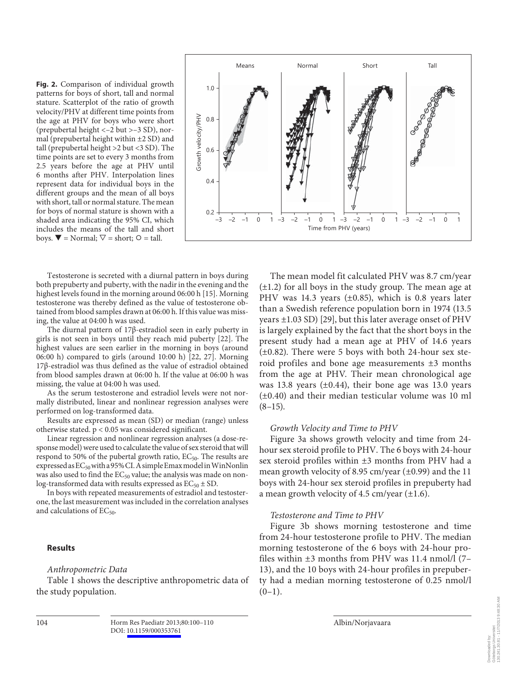**Fig. 2.** Comparison of individual growth patterns for boys of short, tall and normal stature. Scatterplot of the ratio of growth velocity/PHV at different time points from the age at PHV for boys who were short (prepubertal height <–2 but >–3 SD), normal (prepubertal height within ±2 SD) and tall (prepubertal height >2 but <3 SD). The time points are set to every 3 months from 2.5 years before the age at PHV until 6 months after PHV. Interpolation lines represent data for individual boys in the different groups and the mean of all boys with short, tall or normal stature. The mean for boys of normal stature is shown with a shaded area indicating the 95% CI, which includes the means of the tall and short boys.  $\blacktriangledown$  = Normal;  $\nabla$  = short;  $\varnothing$  = tall.

 Testosterone is secreted with a diurnal pattern in boys during both prepuberty and puberty, with the nadir in the evening and the highest levels found in the morning around 06:00 h [15] . Morning testosterone was thereby defined as the value of testosterone obtained from blood samples drawn at 06:00 h. If this value was missing, the value at 04:00 h was used.

 The diurnal pattern of 17β-estradiol seen in early puberty in girls is not seen in boys until they reach mid puberty [22] . The highest values are seen earlier in the morning in boys (around 06:00 h) compared to girls (around 10:00 h)  $[22, 27]$ . Morning 17β-estradiol was thus defined as the value of estradiol obtained from blood samples drawn at 06:00 h. If the value at 06:00 h was missing, the value at 04:00 h was used.

 As the serum testosterone and estradiol levels were not normally distributed, linear and nonlinear regression analyses were performed on log-transformed data.

 Results are expressed as mean (SD) or median (range) unless otherwise stated. p < 0.05 was considered significant.

 Linear regression and nonlinear regression analyses (a dose-response model) were used to calculate the value of sex steroid that will respond to 50% of the pubertal growth ratio, EC<sub>50</sub>. The results are expressed as EC<sub>50</sub> with a 95% CI. A simple Emax model in WinNonlin was also used to find the  $EC_{50}$  value; the analysis was made on nonlog-transformed data with results expressed as  $EC_{50} \pm SD$ .

 In boys with repeated measurements of estradiol and testosterone, the last measurement was included in the correlation analyses and calculations of  $EC_{50}$ .

#### **Results**

## *Anthropometric Data*

 Table 1 shows the descriptive anthropometric data of the study population.



 The mean model fit calculated PHV was 8.7 cm/year (±1.2) for all boys in the study group. The mean age at PHV was 14.3 years  $(\pm 0.85)$ , which is 0.8 years later than a Swedish reference population born in 1974 (13.5 years ±1.03 SD) [29], but this later average onset of PHV is largely explained by the fact that the short boys in the present study had a mean age at PHV of 14.6 years (±0.82). There were 5 boys with both 24-hour sex steroid profiles and bone age measurements  $\pm 3$  months from the age at PHV. Their mean chronological age was 13.8 years  $(\pm 0.44)$ , their bone age was 13.0 years (±0.40) and their median testicular volume was 10 ml  $(8-15)$ .

#### *Growth Velocity and Time to PHV*

Figure 3a shows growth velocity and time from 24hour sex steroid profile to PHV. The 6 boys with 24-hour sex steroid profiles within ±3 months from PHV had a mean growth velocity of 8.95 cm/year (±0.99) and the 11 boys with 24-hour sex steroid profiles in prepuberty had a mean growth velocity of 4.5 cm/year  $(\pm 1.6)$ .

## *Testosterone and Time to PHV*

Figure 3b shows morning testosterone and time from 24-hour testosterone profile to PHV. The median morning testosterone of the 6 boys with 24-hour profiles within  $\pm 3$  months from PHV was 11.4 nmol/l (7– 13), and the 10 boys with 24-hour profiles in prepuberty had a median morning testosterone of 0.25 nmol/l  $(0-1)$ .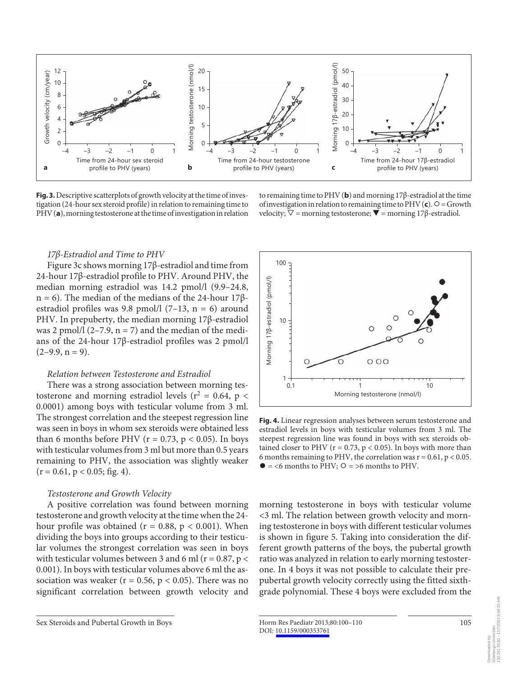

**Fig. 3.** Descriptive scatterplots of growth velocity at the time of investigation (24-hour sex steroid profile) in relation to remaining time to PHV (a), morning testosterone at the time of investigation in relation

to remaining time to PHV ( **b** ) and morning 17β-estradiol at the time of investigation in relation to remaining time to  $PHV(c)$ .  $O = Growth$ velocity;  $\nabla$  = morning testosterone;  $\nabla$  = morning 17 $\beta$ -estradiol.

## *17β-Estradiol and Time to PHV*

Figure 3c shows morning 17 $\beta$ -estradiol and time from 24-hour 17β-estradiol profile to PHV. Around PHV, the median morning estradiol was 14.2 pmol/l (9.9–24.8, n = 6). The median of the medians of the 24-hour 17βestradiol profiles was 9.8 pmol/l  $(7-13, n = 6)$  around PHV. In prepuberty, the median morning 17β-estradiol was 2 pmol/l  $(2-7.9, n = 7)$  and the median of the medians of the 24-hour 17β-estradiol profiles was 2 pmol/l  $(2-9.9, n = 9)$ .

## *Relation between Testosterone and Estradiol*

 There was a strong association between morning testosterone and morning estradiol levels ( $r^2 = 0.64$ , p < 0.0001) among boys with testicular volume from 3 ml. The strongest correlation and the steepest regression line was seen in boys in whom sex steroids were obtained less than 6 months before PHV ( $r = 0.73$ ,  $p < 0.05$ ). In boys with testicular volumes from 3 ml but more than 0.5 years remaining to PHV, the association was slightly weaker  $(r = 0.61, p < 0.05;$  fig. 4).

## *Testosterone and Growth Velocity*

 A positive correlation was found between morning testosterone and growth velocity at the time when the 24 hour profile was obtained ( $r = 0.88$ ,  $p < 0.001$ ). When dividing the boys into groups according to their testicular volumes the strongest correlation was seen in boys with testicular volumes between 3 and 6 ml ( $r = 0.87$ ,  $p <$ 0.001). In boys with testicular volumes above 6 ml the association was weaker ( $r = 0.56$ ,  $p < 0.05$ ). There was no significant correlation between growth velocity and



**Fig. 4.** Linear regression analyses between serum testosterone and estradiol levels in boys with testicular volumes from 3 ml. The steepest regression line was found in boys with sex steroids obtained closer to PHV ( $r = 0.73$ ,  $p < 0.05$ ). In boys with more than 6 months remaining to PHV, the correlation was  $r = 0.61$ ,  $p < 0.05$ .  $\bullet$  = <6 months to PHV;  $\circ$  = >6 months to PHV.

morning testosterone in boys with testicular volume <3 ml. The relation between growth velocity and morning testosterone in boys with different testicular volumes is shown in figure 5. Taking into consideration the different growth patterns of the boys, the pubertal growth ratio was analyzed in relation to early morning testosterone. In 4 boys it was not possible to calculate their prepubertal growth velocity correctly using the fitted sixthgrade polynomial. These 4 boys were excluded from the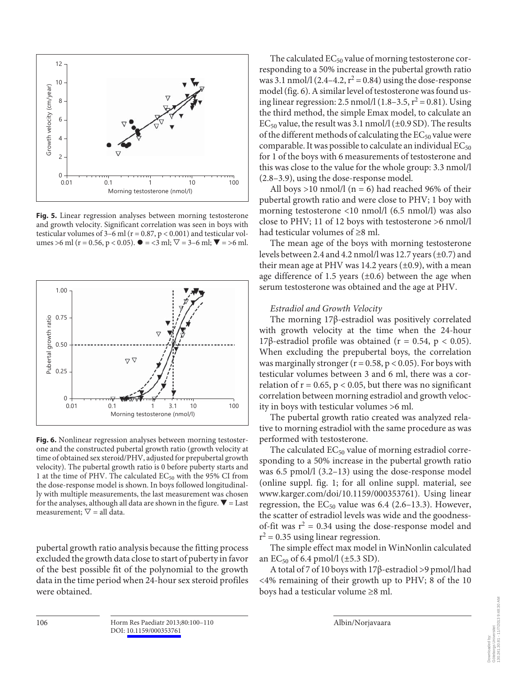

**Fig. 5.** Linear regression analyses between morning testosterone and growth velocity. Significant correlation was seen in boys with testicular volumes of 3–6 ml ( $r = 0.87$ ,  $p < 0.001$ ) and testicular volumes >6 ml (r = 0.56, p < 0.05). ● = <3 ml;  $\nabla$  = 3–6 ml; ▼ = >6 ml.



**Fig. 6.** Nonlinear regression analyses between morning testosterone and the constructed pubertal growth ratio (growth velocity at time of obtained sex steroid/PHV, adjusted for prepubertal growth velocity). The pubertal growth ratio is 0 before puberty starts and 1 at the time of PHV. The calculated  $EC_{50}$  with the 95% CI from the dose-response model is shown. In boys followed longitudinally with multiple measurements, the last measurement was chosen for the analyses, although all data are shown in the figure.  $\blacktriangledown$  = Last measurement;  $\nabla$  = all data.

pubertal growth ratio analysis because the fitting process excluded the growth data close to start of puberty in favor of the best possible fit of the polynomial to the growth data in the time period when 24-hour sex steroid profiles were obtained.

The calculated  $EC_{50}$  value of morning testosterone corresponding to a 50% increase in the pubertal growth ratio was 3.1 nmol/l  $(2.4-4.2, r^2 = 0.84)$  using the dose-response model (fig. 6). A similar level of testosterone was found using linear regression: 2.5 nmol/l (1.8–3.5,  $r^2 = 0.81$ ). Using the third method, the simple Emax model, to calculate an  $EC_{50}$  value, the result was 3.1 nmol/l ( $\pm$ 0.9 SD). The results of the different methods of calculating the  $EC_{50}$  value were comparable. It was possible to calculate an individual  $EC_{50}$ for 1 of the boys with 6 measurements of testosterone and this was close to the value for the whole group: 3.3 nmol/l (2.8–3.9), using the dose-response model.

All boys  $>10$  nmol/l (n = 6) had reached 96% of their pubertal growth ratio and were close to PHV; 1 boy with morning testosterone <10 nmol/l (6.5 nmol/l) was also close to PHV; 11 of 12 boys with testosterone >6 nmol/l had testicular volumes of  $>8$  ml.

 The mean age of the boys with morning testosterone levels between 2.4 and 4.2 nmol/l was 12.7 years (±0.7) and their mean age at PHV was 14.2 years  $(\pm 0.9)$ , with a mean age difference of 1.5 years  $(\pm 0.6)$  between the age when serum testosterone was obtained and the age at PHV.

## *Estradiol and Growth Velocity*

 The morning 17β-estradiol was positively correlated with growth velocity at the time when the 24-hour 17β-estradiol profile was obtained ( $r = 0.54$ ,  $p < 0.05$ ). When excluding the prepubertal boys, the correlation was marginally stronger ( $r = 0.58$ ,  $p < 0.05$ ). For boys with testicular volumes between 3 and 6 ml, there was a correlation of  $r = 0.65$ ,  $p < 0.05$ , but there was no significant correlation between morning estradiol and growth velocity in boys with testicular volumes >6 ml.

 The pubertal growth ratio created was analyzed relative to morning estradiol with the same procedure as was performed with testosterone.

The calculated  $EC_{50}$  value of morning estradiol corresponding to a 50% increase in the pubertal growth ratio was 6.5 pmol/l (3.2–13) using the dose-response model (online suppl. fig. 1; for all online suppl. material, see www.karger.com/doi/10.1159/000353761). Using linear regression, the  $EC_{50}$  value was 6.4 (2.6–13.3). However, the scatter of estradiol levels was wide and the goodnessof-fit was  $r^2 = 0.34$  using the dose-response model and  $r^2$  = 0.35 using linear regression.

 The simple effect max model in WinNonlin calculated an EC<sub>50</sub> of 6.4 pmol/l ( $\pm$ 5.3 SD).

 A total of 7 of 10 boys with 17β-estradiol >9 pmol/l had <4% remaining of their growth up to PHV; 8 of the 10 boys had a testicular volume  $\geq 8$  ml.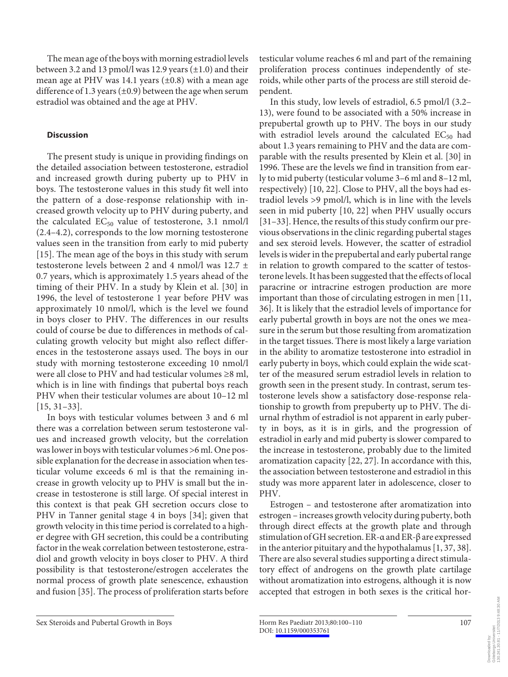The mean age of the boys with morning estradiol levels between 3.2 and 13 pmol/l was 12.9 years  $(\pm 1.0)$  and their mean age at PHV was 14.1 years  $(\pm 0.8)$  with a mean age difference of 1.3 years ( $\pm$ 0.9) between the age when serum estradiol was obtained and the age at PHV.

# **Discussion**

 The present study is unique in providing findings on the detailed association between testosterone, estradiol and increased growth during puberty up to PHV in boys. The testosterone values in this study fit well into the pattern of a dose-response relationship with increased growth velocity up to PHV during puberty, and the calculated  $EC_{50}$  value of testosterone, 3.1 nmol/l (2.4–4.2), corresponds to the low morning testosterone values seen in the transition from early to mid puberty [15]. The mean age of the boys in this study with serum testosterone levels between 2 and 4 nmol/l was 12.7 ± 0.7 years, which is approximately 1.5 years ahead of the timing of their PHV. In a study by Klein et al. [30] in 1996, the level of testosterone 1 year before PHV was approximately 10 nmol/l, which is the level we found in boys closer to PHV. The differences in our results could of course be due to differences in methods of calculating growth velocity but might also reflect differences in the testosterone assays used. The boys in our study with morning testosterone exceeding 10 nmol/l were all close to PHV and had testicular volumes  $\geq 8$  ml, which is in line with findings that pubertal boys reach PHV when their testicular volumes are about 10–12 ml  $[15, 31-33]$ .

 In boys with testicular volumes between 3 and 6 ml there was a correlation between serum testosterone values and increased growth velocity, but the correlation was lower in boys with testicular volumes >6 ml. One possible explanation for the decrease in association when testicular volume exceeds 6 ml is that the remaining increase in growth velocity up to PHV is small but the increase in testosterone is still large. Of special interest in this context is that peak GH secretion occurs close to PHV in Tanner genital stage 4 in boys [34]; given that growth velocity in this time period is correlated to a higher degree with GH secretion, this could be a contributing factor in the weak correlation between testosterone, estradiol and growth velocity in boys closer to PHV. A third possibility is that testosterone/estrogen accelerates the normal process of growth plate senescence, exhaustion and fusion [35] . The process of proliferation starts before testicular volume reaches 6 ml and part of the remaining proliferation process continues independently of steroids, while other parts of the process are still steroid dependent.

 In this study, low levels of estradiol, 6.5 pmol/l (3.2– 13), were found to be associated with a 50% increase in prepubertal growth up to PHV. The boys in our study with estradiol levels around the calculated  $EC_{50}$  had about 1.3 years remaining to PHV and the data are comparable with the results presented by Klein et al. [30] in 1996. These are the levels we find in transition from early to mid puberty (testicular volume 3–6 ml and 8–12 ml, respectively) [10, 22]. Close to PHV, all the boys had estradiol levels >9 pmol/l, which is in line with the levels seen in mid puberty [10, 22] when PHV usually occurs [31–33] . Hence, the results of this study confirm our previous observations in the clinic regarding pubertal stages and sex steroid levels. However, the scatter of estradiol levels is wider in the prepubertal and early pubertal range in relation to growth compared to the scatter of testosterone levels. It has been suggested that the effects of local paracrine or intracrine estrogen production are more important than those of circulating estrogen in men [11, 36] . It is likely that the estradiol levels of importance for early pubertal growth in boys are not the ones we measure in the serum but those resulting from aromatization in the target tissues. There is most likely a large variation in the ability to aromatize testosterone into estradiol in early puberty in boys, which could explain the wide scatter of the measured serum estradiol levels in relation to growth seen in the present study. In contrast, serum testosterone levels show a satisfactory dose-response relationship to growth from prepuberty up to PHV. The diurnal rhythm of estradiol is not apparent in early puberty in boys, as it is in girls, and the progression of estradiol in early and mid puberty is slower compared to the increase in testosterone, probably due to the limited aromatization capacity [22, 27] . In accordance with this, the association between testosterone and estradiol in this study was more apparent later in adolescence, closer to PHV.

 Estrogen – and testosterone after aromatization into estrogen – increases growth velocity during puberty, both through direct effects at the growth plate and through stimulation of GH secretion. ER-α and ER-β are expressed in the anterior pituitary and the hypothalamus [1, 37, 38] . There are also several studies supporting a direct stimulatory effect of androgens on the growth plate cartilage without aromatization into estrogens, although it is now accepted that estrogen in both sexes is the critical hor-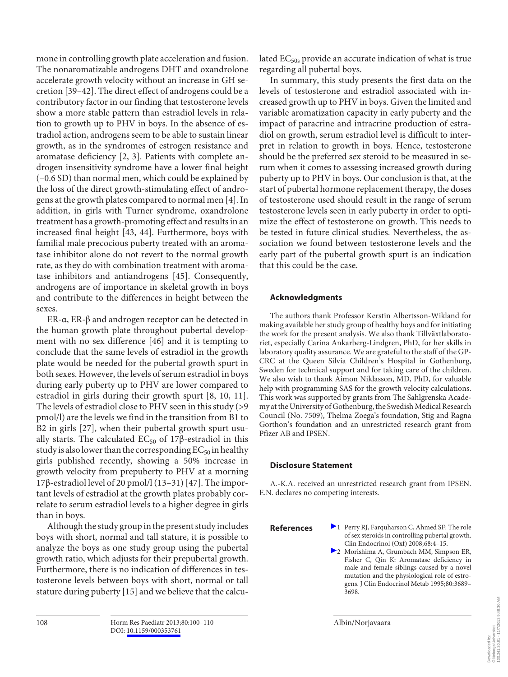mone in controlling growth plate acceleration and fusion. The nonaromatizable androgens DHT and oxandrolone accelerate growth velocity without an increase in GH secretion [39–42] . The direct effect of androgens could be a contributory factor in our finding that testosterone levels show a more stable pattern than estradiol levels in relation to growth up to PHV in boys. In the absence of estradiol action, androgens seem to be able to sustain linear growth, as in the syndromes of estrogen resistance and aromatase deficiency [2, 3]. Patients with complete androgen insensitivity syndrome have a lower final height (–0.6 SD) than normal men, which could be explained by the loss of the direct growth-stimulating effect of androgens at the growth plates compared to normal men [4] . In addition, in girls with Turner syndrome, oxandrolone treatment has a growth-promoting effect and results in an increased final height [43, 44]. Furthermore, boys with familial male precocious puberty treated with an aromatase inhibitor alone do not revert to the normal growth rate, as they do with combination treatment with aromatase inhibitors and antiandrogens [45]. Consequently, androgens are of importance in skeletal growth in boys and contribute to the differences in height between the sexes.

 ER-α, ER-β and androgen receptor can be detected in the human growth plate throughout pubertal development with no sex difference [46] and it is tempting to conclude that the same levels of estradiol in the growth plate would be needed for the pubertal growth spurt in both sexes. However, the levels of serum estradiol in boys during early puberty up to PHV are lower compared to estradiol in girls during their growth spurt [8, 10, 11]. The levels of estradiol close to PHV seen in this study (>9 pmol/l) are the levels we find in the transition from B1 to B2 in girls [27], when their pubertal growth spurt usually starts. The calculated  $EC_{50}$  of 17β-estradiol in this study is also lower than the corresponding  $EC_{50}$  in healthy girls published recently, showing a 50% increase in growth velocity from prepuberty to PHV at a morning 17β-estradiol level of 20 pmol/l  $(13-31)$  [47]. The important levels of estradiol at the growth plates probably correlate to serum estradiol levels to a higher degree in girls than in boys.

 Although the study group in the present study includes boys with short, normal and tall stature, it is possible to analyze the boys as one study group using the pubertal growth ratio, which adjusts for their prepubertal growth. Furthermore, there is no indication of differences in testosterone levels between boys with short, normal or tall stature during puberty [15] and we believe that the calculated EC<sub>50s</sub> provide an accurate indication of what is true regarding all pubertal boys.

 In summary, this study presents the first data on the levels of testosterone and estradiol associated with increased growth up to PHV in boys. Given the limited and variable aromatization capacity in early puberty and the impact of paracrine and intracrine production of estradiol on growth, serum estradiol level is difficult to interpret in relation to growth in boys. Hence, testosterone should be the preferred sex steroid to be measured in serum when it comes to assessing increased growth during puberty up to PHV in boys. Our conclusion is that, at the start of pubertal hormone replacement therapy, the doses of testosterone used should result in the range of serum testosterone levels seen in early puberty in order to optimize the effect of testosterone on growth. This needs to be tested in future clinical studies. Nevertheless, the association we found between testosterone levels and the early part of the pubertal growth spurt is an indication that this could be the case.

# **Acknowledgments**

 The authors thank Professor Kerstin Albertsson-Wikland for making available her study group of healthy boys and for initiating the work for the present analysis. We also thank Tillväxtlaboratoriet, especially Carina Ankarberg-Lindgren, PhD, for her skills in laboratory quality assurance. We are grateful to the staff of the GP-CRC at the Queen Silvia Children's Hospital in Gothenburg, Sweden for technical support and for taking care of the children. We also wish to thank Aimon Niklasson, MD, PhD, for valuable help with programming SAS for the growth velocity calculations. This work was supported by grants from The Sahlgrenska Academy at the University of Gothenburg, the Swedish Medical Research Council (No. 7509), Thelma Zoega's foundation, Stig and Ragna Gorthon's foundation and an unrestricted research grant from Pfizer AB and IPSEN.

## **Disclosure Statement**

 A.-K.A. received an unrestricted research grant from IPSEN. E.N. declares no competing interests.

- **References** 2 Perry RJ, Farquharson C, Ahmed SF: The role of sex steroids in controlling pubertal growth. Clin Endocrinol (Oxf) 2008;68:4–15.
	- 2 Morishima A, Grumbach MM, Simpson ER, Fisher C, Qin K: Aromatase deficiency in male and female siblings caused by a novel mutation and the physiological role of estrogens. J Clin Endocrinol Metab 1995;80:3689– 3698.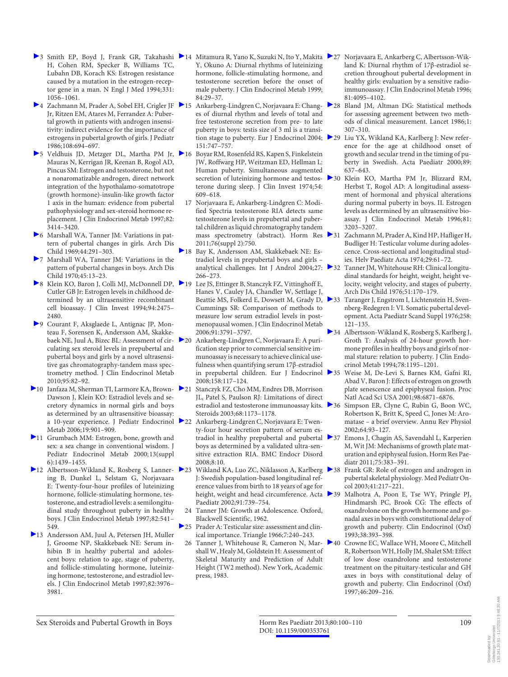- 3 Smith EP, Boyd J, Frank GR, Takahashi 14 Mitamura R, Yano K, Suzuki N, Ito Y, Makita 27 Norjavaara E, Ankarberg C, Albertsson-Wik-H, Cohen RM, Specker B, Williams TC, Lubahn DB, Korach KS: Estrogen resistance caused by a mutation in the estrogen-receptor gene in a man. N Engl J Med 1994;331: 1056–1061.
- Jr, Ritzen EM, Atares M, Ferrandez A: Pubertal growth in patients with androgen insensitivity: indirect evidence for the importance of estrogens in pubertal growth of girls. J Pediatr 1986;108:694–697.
- ▶ 5 Veldhuis JD, Metzger DL, Martha PM Jr, ▶ 16 Mauras N, Kerrigan JR, Keenan B, Rogol AD, Pincus SM: Estrogen and testosterone, but not a nonaromatizable androgen, direct network integration of the hypothalamo-somatotrope (growth hormone)-insulin-like growth factor 1 axis in the human: evidence from pubertal pathophysiology and sex-steroid hormone replacement. J Clin Endocrinol Metab 1997;82: 3414–3420.
- 6 Marshall WA, Tanner JM: Variations in pattern of pubertal changes in girls. Arch Dis Child 1969;44:291–303.
- 7 Marshall WA, Tanner JM: Variations in the pattern of pubertal changes in boys. Arch Dis Child 1970;45:13–23.
- ▶ 8 Klein KO, Baron J, Colli MJ, McDonnell DP, ▶ 19 Cutler GB Jr: Estrogen levels in childhood determined by an ultrasensitive recombinant cell bioassay. J Clin Invest 1994;94:2475– 2480.
- 9 Courant F, Aksglaede L, Antignac JP, Monteau F, Sorensen K, Andersson AM, Skakkebaek NE, Juul A, Bizec BL: Assessment of circulating sex steroid levels in prepubertal and pubertal boys and girls by a novel ultrasensitive gas chromatography-tandem mass spectrometry method. J Clin Endocrinol Metab 2010;95:82–92.
- ▶ 10 Janfaza M, Sherman TI, Larmore KA, Brown- ▶ 21 Dawson J, Klein KO: Estradiol levels and secretory dynamics in normal girls and boys as determined by an ultrasensitive bioassay: a 10-year experience. J Pediatr Endocrinol 22 Metab 2006;19:901–909.
- 11 Grumbach MM: Estrogen, bone, growth and sex: a sea change in conventional wisdom. J Pediatr Endocrinol Metab 2000; 13(suppl 6):1439–1455.
- 12 Albertsson-Wikland K, Rosberg S, Lannering B, Dunkel L, Selstam G, Norjavaara E: Twenty-four-hour profiles of luteinizing hormone, follicle-stimulating hormone, testosterone, and estradiol levels: a semilongitudinal study throughout puberty in healthy boys. J Clin Endocrinol Metab 1997;82:541– 549.
- 13 Andersson AM, Juul A, Petersen JH, Muller J, Groome NP, Skakkebaek NE: Serum inhibin B in healthy pubertal and adolescent boys: relation to age, stage of puberty, and follicle-stimulating hormone, luteinizing hormone, testosterone, and estradiol levels. J Clin Endocrinol Metab 1997;82:3976– 3981.
- Y, Okuno A: Diurnal rhythms of luteinizing hormone, follicle-stimulating hormone, and testosterone secretion before the onset of male puberty. J Clin Endocrinol Metab 1999; 84:29–37.
- 4 Zachmann M, Prader A, Sobel EH, Crigler JF 15 Ankarberg-Lindgren C, Norjavaara E: Changes of diurnal rhythm and levels of total and free testosterone secretion from pre- to late puberty in boys: testis size of 3 ml is a transition stage to puberty. Eur J Endocrinol 2004; 29 151:747–757.
	- 16 Boyar RM, Rosenfeld RS, Kapen S, Finkelstein JW, Roffwarg HP, Weitzman ED, Hellman L: Human puberty. Simultaneous augmented secretion of luteinizing hormone and testosterone during sleep. J Clin Invest 1974;54: 609–618.
	- 17 Norjavaara E, Ankarberg-Lindgren C: Modified Spectria testosterone RIA detects same testosterone levels in prepubertal and pubertal children as liquid chromatography tandem mass spectrometry (abstract). Horm Res > 31 2011;76(suppl 2):750.
	- 18 Bay K, Andersson AM, Skakkebaek NE: Estradiol levels in prepubertal boys and girls – analytical challenges. Int J Androl 2004;27: 232 266–273.
	- Lee JS, Ettinger B, Stanczyk FZ, Vittinghoff E, Hanes V, Cauley JA, Chandler W, Settlage J, Cummings SR: Comparison of methods to measure low serum estradiol levels in postmenopausal women. J Clin Endocrinol Metab 2006;91:3791–3797.
	- 20 Ankarberg-Lindgren C, Norjavaara E: A purification step prior to commercial sensitive immunoassay is necessary to achieve clinical usefulness when quantifying serum 17β-estradiol in prepubertal children. Eur J Endocrinol > 35 2008;158:117–124.
	- Stanczyk FZ, Cho MM, Endres DB, Morrison JL, Patel S, Paulson RJ: Limitations of direct estradiol and testosterone immunoassay kits. > 36 Steroids 2003;68:1173–1178.
	- 22 Ankarberg-Lindgren C, Norjavaara E: Twenty-four hour secretion pattern of serum estradiol in healthy prepubertal and pubertal  $\triangleright$  37 boys as determined by a validated ultra-sensitive extraction RIA. BMC Endocr Disord 2008;8:10.
	- ▶ 23 Wikland KA, Luo ZC, Niklasson A, Karlberg ▶ 38 J: Swedish population-based longitudinal reference values from birth to 18 years of age for height, weight and head circumference. Acta > 39 Paediatr 2002;91:739–754.
		- 24 Tanner JM: Growth at Adolescence. Oxford, Blackwell Scientific, 1962.
	- 25 Prader A: Testicular size: assessment and clinical importance. Triangle 1966;7:240–243.
		- 26 Tanner J, Whitehouse R, Cameron N, Marshall W, Healy M, Goldstein H: Assessment of Skeletal Maturity and Prediction of Adult Height (TW2 method). New York, Academic press, 1983.
- land K: Diurnal rhythm of 17β-estradiol secretion throughout pubertal development in healthy girls: evaluation by a sensitive radioimmunoassay. J Clin Endocrinol Metab 1996; 81:4095–4102.
- 28 Bland JM, Altman DG: Statistical methods for assessing agreement between two methods of clinical measurement. Lancet 1986;1: 307–310.
	- Liu YX, Wikland KA, Karlberg J: New reference for the age at childhood onset of growth and secular trend in the timing of puberty in Swedish. Acta Paediatr 2000;89: 637–643.
- 30 Klein KO, Martha PM Jr, Blizzard RM, Herbst T, Rogol AD: A longitudinal assessment of hormonal and physical alterations during normal puberty in boys. II. Estrogen levels as determined by an ultrasensitive bioassay. J Clin Endocrinol Metab 1996; 81: 3203–3207.
	- Zachmann M, Prader A, Kind HP, Hafliger H, Budliger H: Testicular volume during adolescence. Cross-sectional and longitudinal studies. Helv Paediatr Acta 1974;29:61–72.
	- Tanner JM, Whitehouse RH: Clinical longitudinal standards for height, weight, height velocity, weight velocity, and stages of puberty. Arch Dis Child 1976;51:170–179.
- Beattie MS, Folkerd E, Dowsett M, Grady D, 33 Taranger J, Engstrom I, Lichtenstein H, Svennberg-Redegren I: VI. Somatic pubertal development. Acta Paediatr Scand Suppl 1976;258: 121–135.
	- 34 Albertsson-Wikland K, Rosberg S, Karlberg J, Groth T: Analysis of 24-hour growth hormone profiles in healthy boys and girls of normal stature: relation to puberty. J Clin Endocrinol Metab 1994;78:1195–1201.
	- 35 Weise M, De-Levi S, Barnes KM, Gafni RI, Abad V, Baron J: Effects of estrogen on growth plate senescence and epiphyseal fusion. Proc Natl Acad Sci USA 2001;98:6871–6876.
	- Simpson ER, Clyne C, Rubin G, Boon WC, Robertson K, Britt K, Speed C, Jones M: Aromatase – a brief overview. Annu Rev Physiol 2002;64:93–127.
	- 37 Emons J, Chagin AS, Savendahl L, Karperien M, Wit JM: Mechanisms of growth plate maturation and epiphyseal fusion. Horm Res Paediatr 2011;75:383–391.
	- Frank GR: Role of estrogen and androgen in pubertal skeletal physiology. Med Pediatr Oncol 2003;41:217–221.
	- Malhotra A, Poon E, Tse WY, Pringle PJ, Hindmarsh PC, Brook CG: The effects of oxandrolone on the growth hormone and gonadal axes in boys with constitutional delay of growth and puberty. Clin Endocrinol (Oxf) 1993;38:393–398.
	- 40 Crowne EC, Wallace WH, Moore C, Mitchell R, Robertson WH, Holly JM, Shalet SM: Effect of low dose oxandrolone and testosterone treatment on the pituitary-testicular and GH axes in boys with constitutional delay of growth and puberty. Clin Endocrinol (Oxf) 1997;46:209–216.